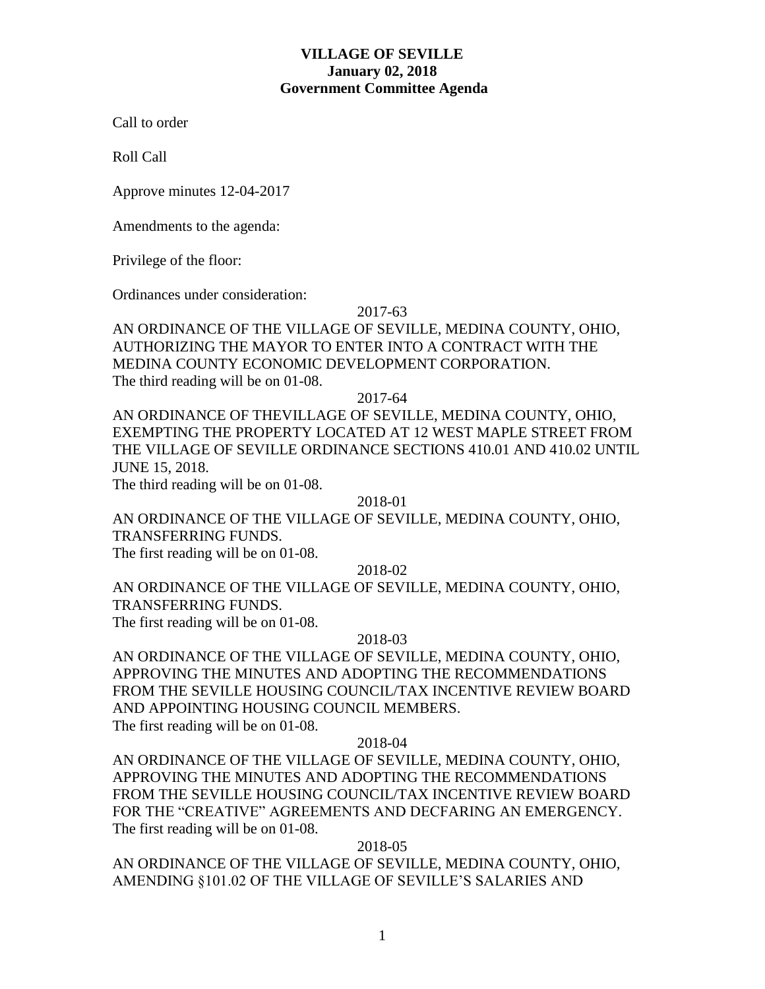## **VILLAGE OF SEVILLE January 02, 2018 Government Committee Agenda**

Call to order

Roll Call

Approve minutes 12-04-2017

Amendments to the agenda:

Privilege of the floor:

Ordinances under consideration:

### 2017-63

AN ORDINANCE OF THE VILLAGE OF SEVILLE, MEDINA COUNTY, OHIO, AUTHORIZING THE MAYOR TO ENTER INTO A CONTRACT WITH THE MEDINA COUNTY ECONOMIC DEVELOPMENT CORPORATION. The third reading will be on 01-08.

2017-64

AN ORDINANCE OF THEVILLAGE OF SEVILLE, MEDINA COUNTY, OHIO, EXEMPTING THE PROPERTY LOCATED AT 12 WEST MAPLE STREET FROM THE VILLAGE OF SEVILLE ORDINANCE SECTIONS 410.01 AND 410.02 UNTIL JUNE 15, 2018.

The third reading will be on 01-08.

2018-01

AN ORDINANCE OF THE VILLAGE OF SEVILLE, MEDINA COUNTY, OHIO, TRANSFERRING FUNDS.

The first reading will be on 01-08.

2018-02

AN ORDINANCE OF THE VILLAGE OF SEVILLE, MEDINA COUNTY, OHIO, TRANSFERRING FUNDS.

The first reading will be on 01-08.

## 2018-03

AN ORDINANCE OF THE VILLAGE OF SEVILLE, MEDINA COUNTY, OHIO, APPROVING THE MINUTES AND ADOPTING THE RECOMMENDATIONS FROM THE SEVILLE HOUSING COUNCIL/TAX INCENTIVE REVIEW BOARD AND APPOINTING HOUSING COUNCIL MEMBERS. The first reading will be on 01-08.

#### 2018-04

AN ORDINANCE OF THE VILLAGE OF SEVILLE, MEDINA COUNTY, OHIO, APPROVING THE MINUTES AND ADOPTING THE RECOMMENDATIONS FROM THE SEVILLE HOUSING COUNCIL/TAX INCENTIVE REVIEW BOARD FOR THE "CREATIVE" AGREEMENTS AND DECFARING AN EMERGENCY. The first reading will be on 01-08.

2018-05

AN ORDINANCE OF THE VILLAGE OF SEVILLE, MEDINA COUNTY, OHIO, AMENDING §101.02 OF THE VILLAGE OF SEVILLE'S SALARIES AND